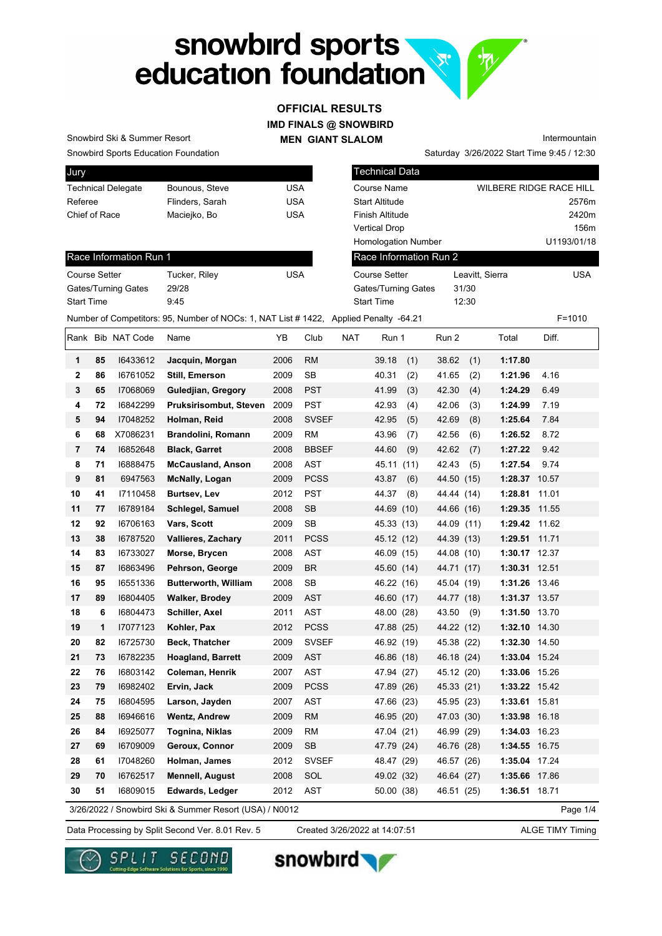# snowbird sports<br>education foundation **R.**

### **IMD FINALS @ SNOWBIRD MEN GIANT SLALOM OFFICIAL RESULTS**

Snowbird Sports Education Foundation Snowbird Ski & Summer Resort

Race Information Run 1

Gates/Turning Gates 29/28 Start Time 9:45

| Jury                      |                 |     |
|---------------------------|-----------------|-----|
| <b>Technical Delegate</b> | Bounous, Steve  | USA |
| Referee                   | Flinders, Sarah | USA |
| Chief of Race             | Maciejko, Bo    | USA |
|                           |                 |     |

Course Setter Tucker, Riley Course Setter

| Technical Data             |                                |             |
|----------------------------|--------------------------------|-------------|
| Course Name                | <b>WILBERE RIDGE RACE HILL</b> |             |
| Start Altitude             |                                | 2576m       |
| Finish Altitude            |                                | 2420m       |
| Vertical Drop              |                                | 156m        |
| <b>Homologation Number</b> |                                | U1193/01/18 |
| Race Information Run 2     |                                |             |
| <b>Course Setter</b>       | Leavitt, Sierra                | <b>USA</b>  |
| Gates/Turning Gates        | 31/30                          |             |
| <b>Start Time</b>          | 12:30                          |             |

Saturday 3/26/2022 Start Time 9:45 / 12:30

Intermountain

Number of Competitors: 95, Number of NOCs: 1, NAT List # 1422, Applied Penalty -64.21 F=1010

|                |    | Rank Bib NAT Code | Name                                                   | YΒ   | Club         | <b>NAT</b> | Run 1      |      | Run 2      |      | Total         | Diff.    |
|----------------|----|-------------------|--------------------------------------------------------|------|--------------|------------|------------|------|------------|------|---------------|----------|
| 1              | 85 | 16433612          | Jacquin, Morgan                                        | 2006 | <b>RM</b>    |            | 39.18      | (1)  | 38.62      | (1)  | 1:17.80       |          |
| 2              | 86 | 16761052          | <b>Still, Emerson</b>                                  | 2009 | <b>SB</b>    |            | 40.31      | (2)  | 41.65      | (2)  | 1:21.96       | 4.16     |
| 3              | 65 | 17068069          | <b>Guledjian, Gregory</b>                              | 2008 | <b>PST</b>   |            | 41.99      | (3)  | 42.30      | (4)  | 1:24.29       | 6.49     |
| 4              | 72 | 16842299          | Pruksirisombut, Steven                                 | 2009 | <b>PST</b>   |            | 42.93      | (4)  | 42.06      | (3)  | 1:24.99       | 7.19     |
| 5              | 94 | 17048252          | Holman, Reid                                           | 2008 | <b>SVSEF</b> |            | 42.95      | (5)  | 42.69      | (8)  | 1:25.64       | 7.84     |
| 6              | 68 | X7086231          | Brandolini, Romann                                     | 2009 | <b>RM</b>    |            | 43.96      | (7)  | 42.56      | (6)  | 1:26.52       | 8.72     |
| $\overline{7}$ | 74 | 16852648          | <b>Black, Garret</b>                                   | 2008 | <b>BBSEF</b> |            | 44.60      | (9)  | 42.62      | (7)  | 1:27.22       | 9.42     |
| 8              | 71 | 16888475          | <b>McCausland, Anson</b>                               | 2008 | <b>AST</b>   |            | 45.11      | (11) | 42.43      | (5)  | 1:27.54       | 9.74     |
| 9              | 81 | 6947563           | <b>McNally, Logan</b>                                  | 2009 | <b>PCSS</b>  |            | 43.87      | (6)  | 44.50      | (15) | 1:28.37 10.57 |          |
| 10             | 41 | 17110458          | Burtsev, Lev                                           | 2012 | <b>PST</b>   |            | 44.37      | (8)  | 44.44 (14) |      | 1:28.81       | 11.01    |
| 11             | 77 | 16789184          | Schlegel, Samuel                                       | 2008 | <b>SB</b>    |            | 44.69 (10) |      | 44.66 (16) |      | 1:29.35       | 11.55    |
| 12             | 92 | 16706163          | Vars, Scott                                            | 2009 | <b>SB</b>    |            | 45.33 (13) |      | 44.09 (11) |      | 1:29.42 11.62 |          |
| 13             | 38 | 16787520          | <b>Vallieres, Zachary</b>                              | 2011 | <b>PCSS</b>  |            | 45.12 (12) |      | 44.39 (13) |      | 1:29.51 11.71 |          |
| 14             | 83 | 16733027          | Morse, Brycen                                          | 2008 | <b>AST</b>   |            | 46.09 (15) |      | 44.08 (10) |      | 1:30.17 12.37 |          |
| 15             | 87 | 16863496          | Pehrson, George                                        | 2009 | <b>BR</b>    |            | 45.60 (14) |      | 44.71 (17) |      | 1:30.31 12.51 |          |
| 16             | 95 | 16551336          | <b>Butterworth, William</b>                            | 2008 | <b>SB</b>    |            | 46.22 (16) |      | 45.04 (19) |      | 1:31.26 13.46 |          |
| 17             | 89 | 16804405          | <b>Walker, Brodey</b>                                  | 2009 | <b>AST</b>   |            | 46.60 (17) |      | 44.77 (18) |      | 1:31.37 13.57 |          |
| 18             | 6  | 16804473          | Schiller, Axel                                         | 2011 | <b>AST</b>   |            | 48.00 (28) |      | 43.50      | (9)  | 1:31.50 13.70 |          |
| 19             | 1  | 17077123          | Kohler, Pax                                            | 2012 | <b>PCSS</b>  |            | 47.88 (25) |      | 44.22 (12) |      | 1:32.10 14.30 |          |
| 20             | 82 | 16725730          | <b>Beck, Thatcher</b>                                  | 2009 | <b>SVSEF</b> |            | 46.92 (19) |      | 45.38 (22) |      | 1:32.30 14.50 |          |
| 21             | 73 | 16782235          | <b>Hoagland, Barrett</b>                               | 2009 | <b>AST</b>   |            | 46.86 (18) |      | 46.18 (24) |      | 1:33.04 15.24 |          |
| 22             | 76 | 16803142          | Coleman, Henrik                                        | 2007 | <b>AST</b>   |            | 47.94 (27) |      | 45.12 (20) |      | 1:33.06 15.26 |          |
| 23             | 79 | 16982402          | Ervin, Jack                                            | 2009 | <b>PCSS</b>  |            | 47.89 (26) |      | 45.33 (21) |      | 1:33.22 15.42 |          |
| 24             | 75 | 16804595          | Larson, Jayden                                         | 2007 | <b>AST</b>   |            | 47.66 (23) |      | 45.95 (23) |      | 1:33.61 15.81 |          |
| 25             | 88 | 16946616          | <b>Wentz, Andrew</b>                                   | 2009 | <b>RM</b>    |            | 46.95 (20) |      | 47.03 (30) |      | 1:33.98 16.18 |          |
| 26             | 84 | 16925077          | Tognina, Niklas                                        | 2009 | <b>RM</b>    |            | 47.04 (21) |      | 46.99 (29) |      | 1:34.03 16.23 |          |
| 27             | 69 | 16709009          | Geroux, Connor                                         | 2009 | SB           |            | 47.79 (24) |      | 46.76 (28) |      | 1:34.55 16.75 |          |
| 28             | 61 | 17048260          | Holman, James                                          | 2012 | <b>SVSEF</b> |            | 48.47 (29) |      | 46.57 (26) |      | 1:35.04 17.24 |          |
| 29             | 70 | 16762517          | <b>Mennell, August</b>                                 | 2008 | SOL          |            | 49.02 (32) |      | 46.64 (27) |      | 1:35.66 17.86 |          |
| 30             | 51 | 16809015          | Edwards, Ledger                                        | 2012 | <b>AST</b>   |            | 50.00 (38) |      | 46.51 (25) |      | 1:36.51 18.71 |          |
|                |    |                   | 3/26/2022 / Snowbird Ski & Summer Resort (USA) / N0012 |      |              |            |            |      |            |      |               | Page 1/4 |

Data Processing by Split Second Ver. 8.01 Rev. 5 Created 3/26/2022 at 14:07:51 ALGE TIMY Timing

Created 3/26/2022 at 14:07:51





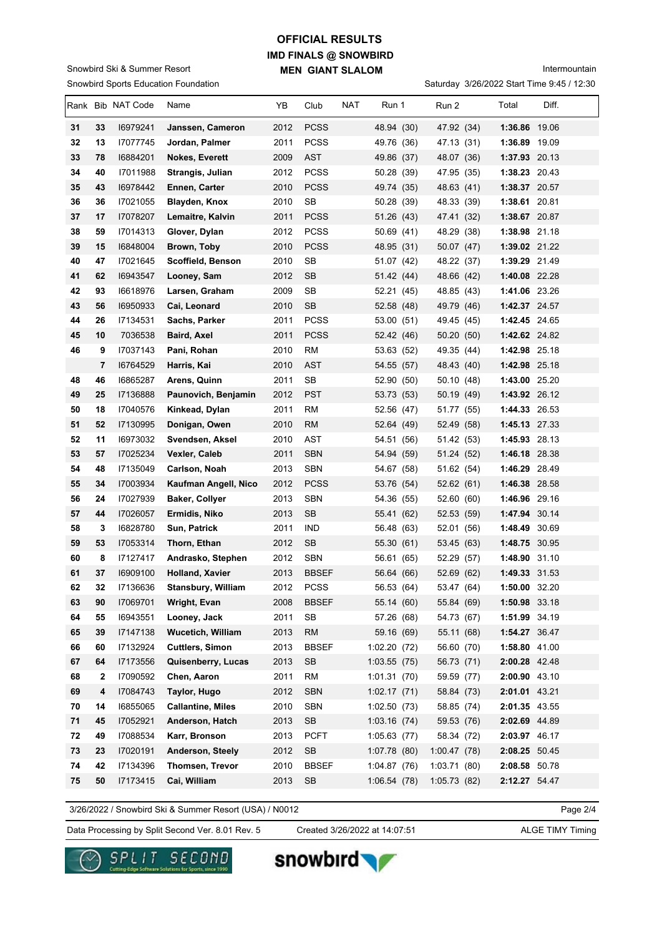#### Snowbird Sports Education Foundation Snowbird Ski & Summer Resort

# **IMD FINALS @ SNOWBIRD MEN GIANT SLALOM OFFICIAL RESULTS**

Intermountain

|  | Saturday 3/26/2022 Start Time 9:45 / 12:30 |  |  |  |
|--|--------------------------------------------|--|--|--|
|--|--------------------------------------------|--|--|--|

|          |         | Rank Bib NAT Code    | Name                                                | YB           | Club                        | NAT | Run 1                    | Run 2                    | Total                          | Diff. |
|----------|---------|----------------------|-----------------------------------------------------|--------------|-----------------------------|-----|--------------------------|--------------------------|--------------------------------|-------|
| 31       | 33      | 16979241             | Janssen, Cameron                                    | 2012         | <b>PCSS</b>                 |     | 48.94 (30)               | 47.92 (34)               | 1:36.86 19.06                  |       |
| 32       | 13      | 17077745             | Jordan, Palmer                                      | 2011         | <b>PCSS</b>                 |     | 49.76 (36)               | 47.13 (31)               | 1:36.89 19.09                  |       |
| 33       | 78      | 16884201             | <b>Nokes, Everett</b>                               | 2009         | <b>AST</b>                  |     | 49.86 (37)               | 48.07 (36)               | 1:37.93 20.13                  |       |
| 34       | 40      | 17011988             | Strangis, Julian                                    | 2012         | <b>PCSS</b>                 |     | 50.28 (39)               | 47.95 (35)               | 1:38.23 20.43                  |       |
| 35       | 43      | 16978442             | Ennen, Carter                                       | 2010         | <b>PCSS</b>                 |     | 49.74 (35)               | 48.63 (41)               | 1:38.37 20.57                  |       |
| 36       | 36      | I7021055             | <b>Blayden, Knox</b>                                | 2010         | SB                          |     | 50.28 (39)               | 48.33 (39)               | 1:38.61 20.81                  |       |
| 37       | 17      | 17078207             | Lemaitre, Kalvin                                    | 2011         | <b>PCSS</b>                 |     | 51.26 (43)               | 47.41 (32)               | 1:38.67 20.87                  |       |
| 38       | 59      | 17014313             | Glover, Dylan                                       | 2012         | <b>PCSS</b>                 |     | 50.69 (41)               | 48.29 (38)               | 1:38.98 21.18                  |       |
| 39       | 15      | 16848004             | Brown, Toby                                         | 2010         | <b>PCSS</b>                 |     | 48.95 (31)               | 50.07 (47)               | 1:39.02 21.22                  |       |
| 40       | 47      | 17021645             | Scoffield, Benson                                   | 2010         | <b>SB</b>                   |     | 51.07 (42)               | 48.22 (37)               | 1:39.29 21.49                  |       |
| 41       | 62      | 16943547             | Looney, Sam                                         | 2012         | <b>SB</b>                   |     | 51.42 (44)               | 48.66 (42)               | 1:40.08 22.28                  |       |
| 42       | 93      | 16618976             | Larsen, Graham                                      | 2009         | SB                          |     | 52.21 (45)               | 48.85 (43)               | 1:41.06 23.26                  |       |
| 43       | 56      | 16950933             | Cai, Leonard                                        | 2010         | <b>SB</b>                   |     | 52.58 (48)               | 49.79 (46)               | 1:42.37 24.57                  |       |
| 44       | 26      | 17134531             | Sachs, Parker                                       | 2011         | <b>PCSS</b>                 |     | 53.00 (51)               | 49.45 (45)               | 1:42.45 24.65                  |       |
| 45       | 10      | 7036538              | Baird, Axel                                         | 2011         | <b>PCSS</b>                 |     | 52.42 (46)               | 50.20 (50)               | 1:42.62 24.82                  |       |
| 46       | 9       | 17037143             | Pani, Rohan                                         | 2010         | <b>RM</b>                   |     | 53.63 (52)               | 49.35 (44)               | 1:42.98 25.18                  |       |
|          | 7       | 16764529             | Harris, Kai                                         | 2010         | <b>AST</b>                  |     | 54.55 (57)               | 48.43 (40)               | 1:42.98 25.18                  |       |
| 48       | 46      | 16865287             | Arens, Quinn                                        | 2011         | SB                          |     | 52.90 (50)               | 50.10 (48)               | 1:43.00 25.20                  |       |
| 49       | 25      | 17136888             | Paunovich, Benjamin                                 | 2012         | <b>PST</b>                  |     | 53.73 (53)               | 50.19 (49)               | 1:43.92 26.12                  |       |
| 50       | 18      | 17040576             | Kinkead, Dylan                                      | 2011         | <b>RM</b>                   |     | 52.56 (47)               | 51.77 (55)               | 1:44.33 26.53                  |       |
| 51       | 52      | 17130995             | Donigan, Owen                                       | 2010         | <b>RM</b>                   |     | 52.64 (49)               | 52.49 (58)               | 1:45.13 27.33                  |       |
| 52       | 11      | 16973032             | Svendsen, Aksel                                     | 2010         | AST                         |     | 54.51 (56)               | 51.42 (53)               | 1:45.93 28.13                  |       |
| 53       | 57      | 17025234             | Vexler, Caleb                                       | 2011         | <b>SBN</b>                  |     | 54.94 (59)               | 51.24 (52)               | 1:46.18 28.38                  |       |
| 54       | 48      | 17135049             | Carlson, Noah                                       | 2013         | <b>SBN</b>                  |     | 54.67 (58)               | 51.62 (54)               | 1:46.29 28.49                  |       |
| 55       | 34      | 17003934             | Kaufman Angell, Nico                                | 2012         | <b>PCSS</b>                 |     | 53.76 (54)               | 52.62(61)                | 1:46.38 28.58                  |       |
| 56       | 24      | 17027939             | <b>Baker, Collyer</b>                               | 2013         | <b>SBN</b>                  |     | 54.36 (55)               | 52.60 (60)               | 1:46.96 29.16                  |       |
| 57       | 44      | 17026057             | Ermidis, Niko                                       | 2013         | <b>SB</b>                   |     | 55.41 (62)               | 52.53 (59)               | 1:47.94 30.14                  |       |
| 58       | 3       | 16828780             | Sun, Patrick                                        | 2011         | <b>IND</b>                  |     | 56.48 (63)               | 52.01 (56)               | 1:48.49 30.69                  |       |
| 59       | 53      | 17053314             | Thorn, Ethan                                        | 2012         | <b>SB</b>                   |     | 55.30 (61)               | 53.45 (63)               | 1:48.75 30.95                  |       |
| 60<br>61 | 8<br>37 | 17127417<br>16909100 | Andrasko, Stephen                                   | 2012<br>2013 | <b>SBN</b>                  |     | 56.61 (65)<br>56.64 (66) | 52.29 (57)               | 1:48.90 31.10<br>1:49.33 31.53 |       |
| 62       | 32      | 17136636             | <b>Holland, Xavier</b><br><b>Stansbury, William</b> | 2012         | <b>BBSEF</b><br><b>PCSS</b> |     |                          | 52.69 (62)<br>53.47 (64) | 1:50.00 32.20                  |       |
| 63       | 90      | 17069701             | Wright, Evan                                        | 2008         | <b>BBSEF</b>                |     | 56.53 (64)<br>55.14 (60) | 55.84 (69)               | 1:50.98 33.18                  |       |
| 64       | 55      | 16943551             | Looney, Jack                                        | 2011         | SB                          |     | 57.26 (68)               | 54.73 (67)               | 1:51.99 34.19                  |       |
| 65       | 39      | 17147138             | <b>Wucetich, William</b>                            | 2013         | <b>RM</b>                   |     | 59.16 (69)               | 55.11 (68)               | 1:54.27 36.47                  |       |
| 66       | 60      | 17132924             | <b>Cuttlers, Simon</b>                              | 2013         | <b>BBSEF</b>                |     | 1:02.20(72)              | 56.60 (70)               | 1:58.80 41.00                  |       |
| 67       | 64      | 17173556             | Quisenberry, Lucas                                  | 2013         | <b>SB</b>                   |     | 1:03.55(75)              | 56.73 (71)               | 2:00.28 42.48                  |       |
| 68       | 2       | 17090592             | Chen, Aaron                                         | 2011         | <b>RM</b>                   |     | 1:01.31(70)              | 59.59 (77)               | 2:00.90 43.10                  |       |
| 69       | 4       | 17084743             | Taylor, Hugo                                        | 2012         | <b>SBN</b>                  |     | 1:02.17(71)              | 58.84 (73)               | 2:01.01 43.21                  |       |
| 70       | 14      | 16855065             | <b>Callantine, Miles</b>                            | 2010         | <b>SBN</b>                  |     | 1:02.50(73)              | 58.85 (74)               | 2:01.35 43.55                  |       |
| 71       | 45      | 17052921             | Anderson, Hatch                                     | 2013         | SB                          |     | 1:03.16(74)              | 59.53 (76)               | 2:02.69 44.89                  |       |
| 72       | 49      | 17088534             | Karr, Bronson                                       | 2013         | <b>PCFT</b>                 |     | 1:05.63(77)              | 58.34 (72)               | 2:03.97 46.17                  |       |
| 73       | 23      | 17020191             | Anderson, Steely                                    | 2012         | SB                          |     | 1:07.78 (80)             | 1:00.47(78)              | 2:08.25 50.45                  |       |
| 74       | 42      | 17134396             | Thomsen, Trevor                                     | 2010         | <b>BBSEF</b>                |     | 1:04.87(76)              | 1:03.71(80)              | 2:08.58 50.78                  |       |
| 75       | 50      | 17173415             | Cai, William                                        | 2013         | <b>SB</b>                   |     | 1:06.54(78)              | 1:05.73(82)              | 2:12.27 54.47                  |       |

3/26/2022 / Snowbird Ski & Summer Resort (USA) / N0012

Page 2/4

Data Processing by Split Second Ver. 8.01 Rev. 5 Created 3/26/2022 at 14:07:51 ALGE TIMY Timing

Created 3/26/2022 at 14:07:51



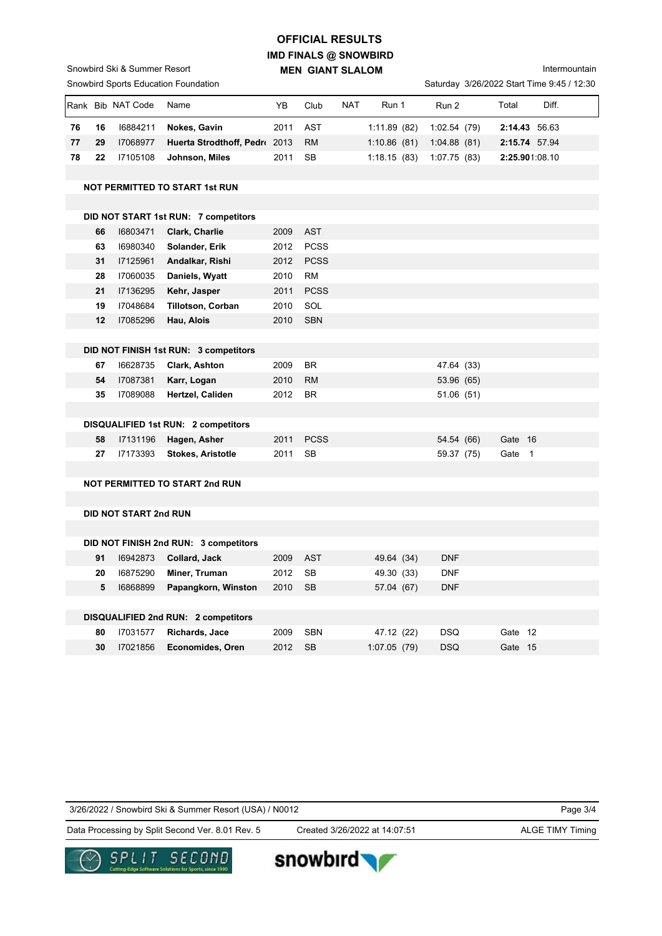# **IMD FINALS @ SNOWBIRD MEN GIANT SLALOM OFFICIAL RESULTS**

Intermountain

|    |         |                              | <b>Snowbird Sports Education Foundation</b> |      |                 |     |             |                          |         | Saturday 3/26/2022 Start Time 9:45 / 12:30 |
|----|---------|------------------------------|---------------------------------------------|------|-----------------|-----|-------------|--------------------------|---------|--------------------------------------------|
|    |         | Rank Bib NAT Code            | Name                                        | YB   | Club            | NAT | Run 1       | Run 2                    | Total   | Diff.                                      |
| 76 | 16      | 16884211                     | Nokes, Gavin                                | 2011 | AST             |     | 1:11.89(82) | 1:02.54(79)              |         | 2:14.43 56.63                              |
| 77 | 29      | 17068977                     | Huerta Strodthoff, Pedr 2013                |      | <b>RM</b>       |     | 1:10.86(81) | 1:04.88(81)              |         | 2:15.74 57.94                              |
| 78 | 22      | 17105108                     | Johnson, Miles                              | 2011 | <b>SB</b>       |     | 1:18.15(83) | 1:07.75(83)              |         | 2:25.901:08.10                             |
|    |         |                              |                                             |      |                 |     |             |                          |         |                                            |
|    |         |                              | <b>NOT PERMITTED TO START 1st RUN</b>       |      |                 |     |             |                          |         |                                            |
|    |         |                              |                                             |      |                 |     |             |                          |         |                                            |
|    |         |                              | DID NOT START 1st RUN: 7 competitors        |      |                 |     |             |                          |         |                                            |
|    | 66      | 16803471                     | Clark, Charlie                              | 2009 | <b>AST</b>      |     |             |                          |         |                                            |
|    | 63      | 16980340                     | Solander, Erik                              | 2012 | <b>PCSS</b>     |     |             |                          |         |                                            |
|    | 31      | 17125961                     | Andalkar, Rishi                             | 2012 | <b>PCSS</b>     |     |             |                          |         |                                            |
|    | 28      | 17060035                     | Daniels, Wyatt                              | 2010 | RM              |     |             |                          |         |                                            |
|    | 21      | 17136295                     | Kehr, Jasper                                | 2011 | <b>PCSS</b>     |     |             |                          |         |                                            |
|    | 19      | 17048684                     | <b>Tillotson, Corban</b>                    | 2010 | SOL             |     |             |                          |         |                                            |
|    | 12      | 17085296                     | Hau, Alois                                  | 2010 | <b>SBN</b>      |     |             |                          |         |                                            |
|    |         |                              |                                             |      |                 |     |             |                          |         |                                            |
|    |         |                              | DID NOT FINISH 1st RUN: 3 competitors       |      |                 |     |             |                          |         |                                            |
|    | 67      | 16628735                     | Clark, Ashton                               | 2009 | BR              |     |             | 47.64 (33)               |         |                                            |
|    | 54      | 17087381                     | Karr, Logan                                 | 2010 | <b>RM</b>       |     |             | 53.96 (65)               |         |                                            |
|    | 35      | 17089088                     | Hertzel, Caliden                            | 2012 | <b>BR</b>       |     |             | 51.06 (51)               |         |                                            |
|    |         |                              |                                             |      |                 |     |             |                          |         |                                            |
|    |         |                              | DISQUALIFIED 1st RUN: 2 competitors         |      |                 |     |             |                          |         |                                            |
|    | 58      | 17131196                     | Hagen, Asher                                | 2011 | <b>PCSS</b>     |     |             | 54.54 (66)               | Gate 16 |                                            |
|    | 27      | 17173393                     | <b>Stokes, Aristotle</b>                    | 2011 | <b>SB</b>       |     |             | 59.37 (75)               | Gate 1  |                                            |
|    |         |                              |                                             |      |                 |     |             |                          |         |                                            |
|    |         |                              | <b>NOT PERMITTED TO START 2nd RUN</b>       |      |                 |     |             |                          |         |                                            |
|    |         |                              |                                             |      |                 |     |             |                          |         |                                            |
|    |         | <b>DID NOT START 2nd RUN</b> |                                             |      |                 |     |             |                          |         |                                            |
|    |         |                              |                                             |      |                 |     |             |                          |         |                                            |
|    |         |                              | DID NOT FINISH 2nd RUN: 3 competitors       |      |                 |     |             |                          |         |                                            |
|    | 91      | 16942873<br>16875290         | Collard, Jack<br>Miner, Truman              | 2009 | <b>AST</b>      |     | 49.64 (34)  | <b>DNF</b><br><b>DNF</b> |         |                                            |
|    | 20<br>5 |                              |                                             | 2012 | SB<br><b>SB</b> |     | 49.30 (33)  |                          |         |                                            |
|    |         | 16868899                     | Papangkorn, Winston                         | 2010 |                 |     | 57.04 (67)  | <b>DNF</b>               |         |                                            |
|    |         |                              | DISQUALIFIED 2nd RUN: 2 competitors         |      |                 |     |             |                          |         |                                            |
|    | 80      | 17031577                     | Richards, Jace                              | 2009 | <b>SBN</b>      |     | 47.12 (22)  | <b>DSQ</b>               | Gate 12 |                                            |
|    | 30      | 17021856                     | Economides, Oren                            | 2012 | <b>SB</b>       |     | 1:07.05(79) | <b>DSQ</b>               | Gate 15 |                                            |
|    |         |                              |                                             |      |                 |     |             |                          |         |                                            |

3/26/2022 / Snowbird Ski & Summer Resort (USA) / N0012

Page 3/4

Data Processing by Split Second Ver. 8.01 Rev. 5 Created 3/26/2022 at 14:07:51 ALGE TIMY Timing

Created 3/26/2022 at 14:07:51

snowbird



Snowbird Ski & Summer Resort